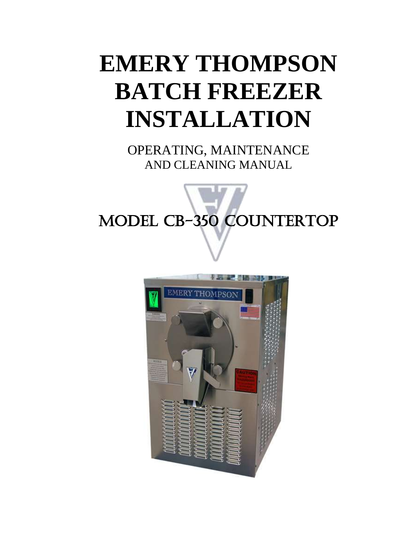# **EMERY THOMPSON BATCH FREEZER INSTALLATION**

OPERATING, MAINTENANCE AND CLEANING MANUAL

# Į MODEL CB-350 COUNTERTOP

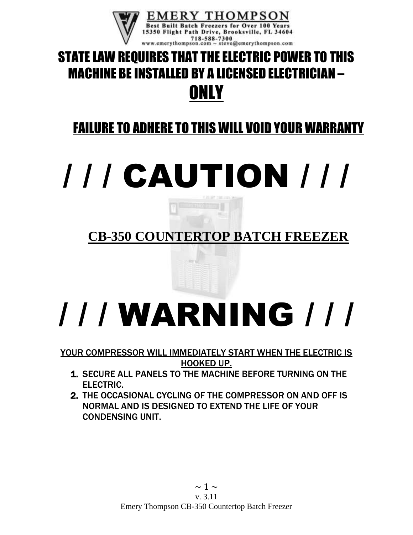

# STATE LAW REQUIRES THAT THE ELECTRIC POWER TO THIS MACHINE BE INSTALLED BY A LICENSED ELECTRICIAN – **ONLY**

# FAILURE TO ADHERE TO THIS WILL VOID YOUR WARRANTY

# / / / CAUTION / / /

# **CB-350 COUNTERTOP BATCH FREEZER**

# / / / WARNING / / /

#### YOUR COMPRESSOR WILL IMMEDIATELY START WHEN THE ELECTRIC IS HOOKED UP.

- 1. SECURE ALL PANELS TO THE MACHINE BEFORE TURNING ON THE ELECTRIC.
- 2. THE OCCASIONAL CYCLING OF THE COMPRESSOR ON AND OFF IS NORMAL AND IS DESIGNED TO EXTEND THE LIFE OF YOUR CONDENSING UNIT.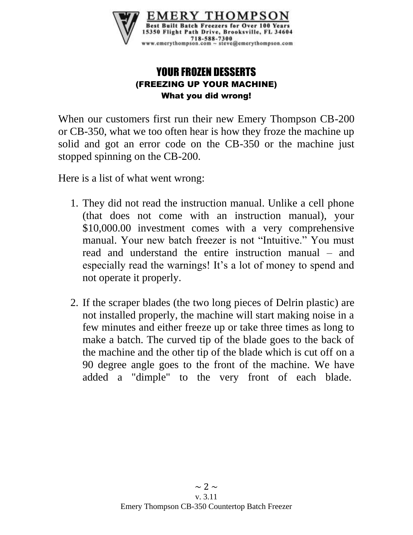

## YOUR FROZEN DESSERTS (FREEZING UP YOUR MACHINE) What you did wrong!

When our customers first run their new Emery Thompson CB-200 or CB-350, what we too often hear is how they froze the machine up solid and got an error code on the CB-350 or the machine just stopped spinning on the CB-200.

Here is a list of what went wrong:

- 1. They did not read the instruction manual. Unlike a cell phone (that does not come with an instruction manual), your \$10,000.00 investment comes with a very comprehensive manual. Your new batch freezer is not "Intuitive." You must read and understand the entire instruction manual – and especially read the warnings! It's a lot of money to spend and not operate it properly.
- 2. If the scraper blades (the two long pieces of Delrin plastic) are not installed properly, the machine will start making noise in a few minutes and either freeze up or take three times as long to make a batch. The curved tip of the blade goes to the back of the machine and the other tip of the blade which is cut off on a 90 degree angle goes to the front of the machine. We have added a "dimple" to the very front of each blade.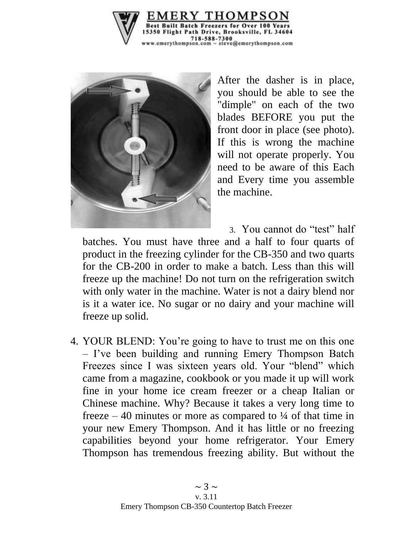



After the dasher is in place, you should be able to see the "dimple" on each of the two blades BEFORE you put the front door in place (see photo). If this is wrong the machine will not operate properly. You need to be aware of this Each and Every time you assemble the machine.

3. You cannot do "test" half

batches. You must have three and a half to four quarts of product in the freezing cylinder for the CB-350 and two quarts for the CB-200 in order to make a batch. Less than this will freeze up the machine! Do not turn on the refrigeration switch with only water in the machine. Water is not a dairy blend nor is it a water ice. No sugar or no dairy and your machine will freeze up solid.

4. YOUR BLEND: You're going to have to trust me on this one – I've been building and running Emery Thompson Batch Freezes since I was sixteen years old. Your "blend" which came from a magazine, cookbook or you made it up will work fine in your home ice cream freezer or a cheap Italian or Chinese machine. Why? Because it takes a very long time to freeze – 40 minutes or more as compared to  $\frac{1}{4}$  of that time in your new Emery Thompson. And it has little or no freezing capabilities beyond your home refrigerator. Your Emery Thompson has tremendous freezing ability. But without the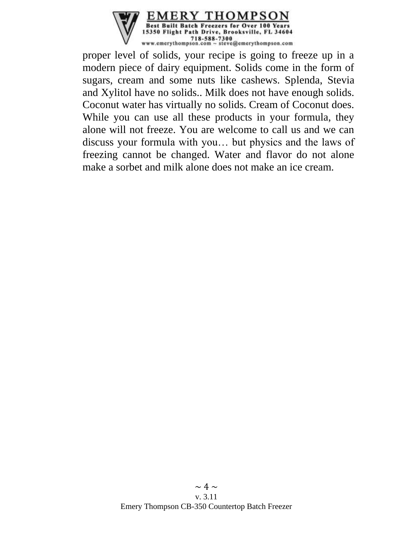

proper level of solids, your recipe is going to freeze up in a modern piece of dairy equipment. Solids come in the form of sugars, cream and some nuts like cashews. Splenda, Stevia and Xylitol have no solids.. Milk does not have enough solids. Coconut water has virtually no solids. Cream of Coconut does. While you can use all these products in your formula, they alone will not freeze. You are welcome to call us and we can discuss your formula with you… but physics and the laws of freezing cannot be changed. Water and flavor do not alone make a sorbet and milk alone does not make an ice cream.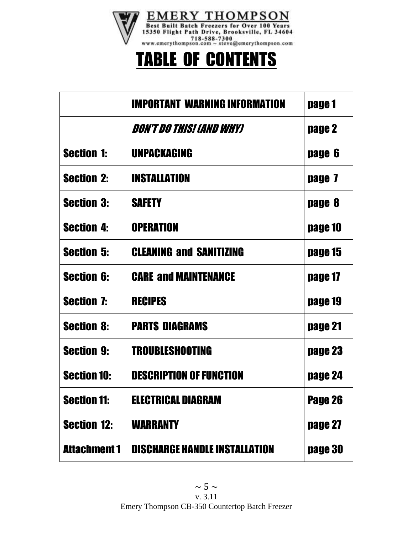

# TABLE OF CONTENTS

|                     | IMPORTANT WARNING INFORMATION        | page 1  |
|---------------------|--------------------------------------|---------|
|                     | Don't do this! (And Why)             | page 2  |
| <b>Section 1:</b>   | UNPACKAGING                          | page 6  |
| <b>Section 2:</b>   | <b>INSTALLATION</b>                  | page 7  |
| <b>Section 3:</b>   | <b>SAFETY</b>                        | page 8  |
| <b>Section 4:</b>   | <b>OPERATION</b>                     | page 10 |
| <b>Section 5:</b>   | <b>CLEANING and SANITIZING</b>       | page 15 |
| <b>Section 6:</b>   | <b>CARE and MAINTENANCE</b>          | page 17 |
| <b>Section 7:</b>   | <b>RECIPES</b>                       | page 19 |
| <b>Section 8:</b>   | <b>PARTS DIAGRAMS</b>                | page 21 |
| <b>Section 9:</b>   | <b>TROUBLESHOOTING</b>               | page 23 |
| <b>Section 10:</b>  | <b>DESCRIPTION OF FUNCTION</b>       | page 24 |
| <b>Section 11:</b>  | <b>ELECTRICAL DIAGRAM</b>            | Page 26 |
| <b>Section 12:</b>  | <b>WARRANTY</b>                      | page 27 |
| <b>Attachment 1</b> | <b>DISCHARGE HANDLE INSTALLATION</b> | page 30 |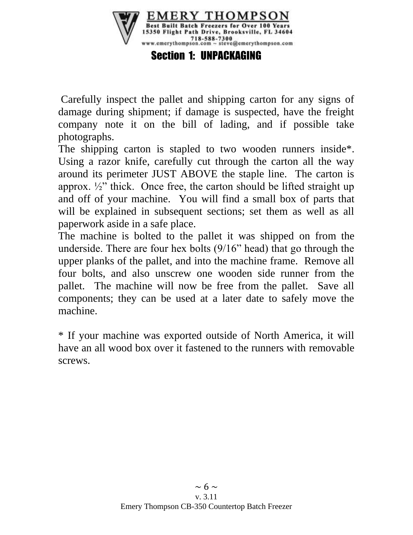

Section 1: UNPACKAGING

Carefully inspect the pallet and shipping carton for any signs of damage during shipment; if damage is suspected, have the freight company note it on the bill of lading, and if possible take photographs.

The shipping carton is stapled to two wooden runners inside\*. Using a razor knife, carefully cut through the carton all the way around its perimeter JUST ABOVE the staple line. The carton is approx.  $\frac{1}{2}$  thick. Once free, the carton should be lifted straight up and off of your machine. You will find a small box of parts that will be explained in subsequent sections; set them as well as all paperwork aside in a safe place.

The machine is bolted to the pallet it was shipped on from the underside. There are four hex bolts (9/16" head) that go through the upper planks of the pallet, and into the machine frame. Remove all four bolts, and also unscrew one wooden side runner from the pallet. The machine will now be free from the pallet. Save all components; they can be used at a later date to safely move the machine.

\* If your machine was exported outside of North America, it will have an all wood box over it fastened to the runners with removable screws.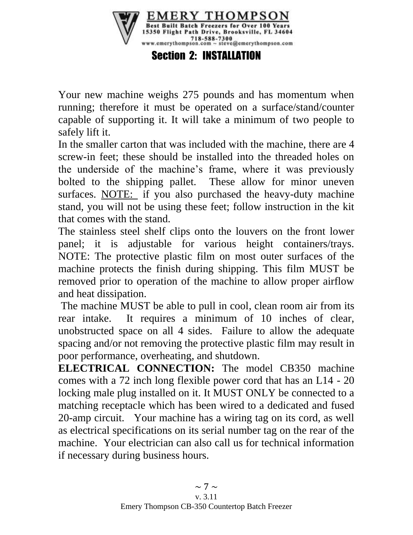

Your new machine weighs 275 pounds and has momentum when running; therefore it must be operated on a surface/stand/counter capable of supporting it. It will take a minimum of two people to safely lift it.

In the smaller carton that was included with the machine, there are 4 screw-in feet; these should be installed into the threaded holes on the underside of the machine's frame, where it was previously bolted to the shipping pallet. These allow for minor uneven surfaces. NOTE: if you also purchased the heavy-duty machine stand, you will not be using these feet; follow instruction in the kit that comes with the stand.

The stainless steel shelf clips onto the louvers on the front lower panel; it is adjustable for various height containers/trays. NOTE: The protective plastic film on most outer surfaces of the machine protects the finish during shipping. This film MUST be removed prior to operation of the machine to allow proper airflow and heat dissipation.

The machine MUST be able to pull in cool, clean room air from its rear intake. It requires a minimum of 10 inches of clear, unobstructed space on all 4 sides. Failure to allow the adequate spacing and/or not removing the protective plastic film may result in poor performance, overheating, and shutdown.

**ELECTRICAL CONNECTION:** The model CB350 machine comes with a 72 inch long flexible power cord that has an L14 - 20 locking male plug installed on it. It MUST ONLY be connected to a matching receptacle which has been wired to a dedicated and fused 20-amp circuit. Your machine has a wiring tag on its cord, as well as electrical specifications on its serial number tag on the rear of the machine. Your electrician can also call us for technical information if necessary during business hours.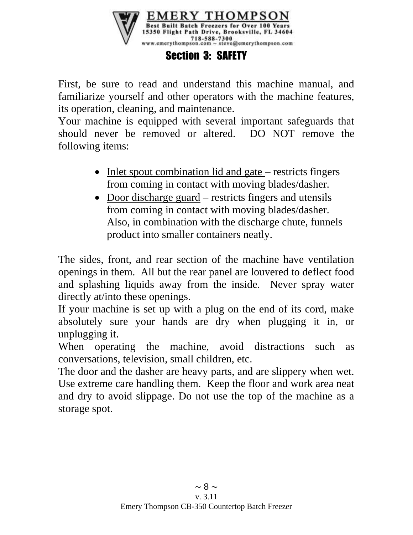

### Section 3: SAFETY

First, be sure to read and understand this machine manual, and familiarize yourself and other operators with the machine features, its operation, cleaning, and maintenance.

Your machine is equipped with several important safeguards that should never be removed or altered. DO NOT remove the following items:

- Inlet spout combination lid and gate restricts fingers from coming in contact with moving blades/dasher.
- Door discharge guard restricts fingers and utensils from coming in contact with moving blades/dasher. Also, in combination with the discharge chute, funnels product into smaller containers neatly.

The sides, front, and rear section of the machine have ventilation openings in them. All but the rear panel are louvered to deflect food and splashing liquids away from the inside. Never spray water directly at/into these openings.

If your machine is set up with a plug on the end of its cord, make absolutely sure your hands are dry when plugging it in, or unplugging it.

When operating the machine, avoid distractions such as conversations, television, small children, etc.

The door and the dasher are heavy parts, and are slippery when wet. Use extreme care handling them. Keep the floor and work area neat and dry to avoid slippage. Do not use the top of the machine as a storage spot.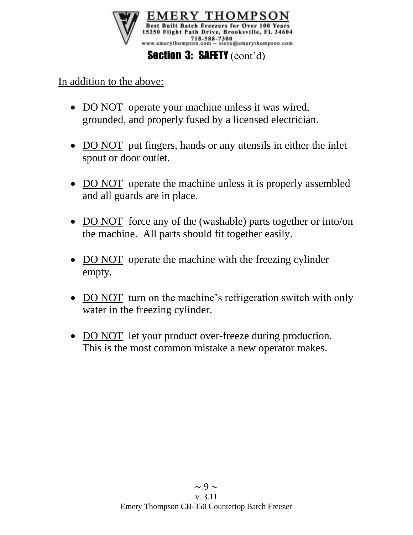

In addition to the above:

- DO NOT operate your machine unless it was wired, grounded, and properly fused by a licensed electrician.
- DO NOT put fingers, hands or any utensils in either the inlet spout or door outlet.
- DO NOT operate the machine unless it is properly assembled and all guards are in place.
- DO NOT force any of the (washable) parts together or into/on the machine. All parts should fit together easily.
- DO NOT operate the machine with the freezing cylinder empty.
- DO NOT turn on the machine's refrigeration switch with only water in the freezing cylinder.
- DO NOT let your product over-freeze during production. This is the most common mistake a new operator makes.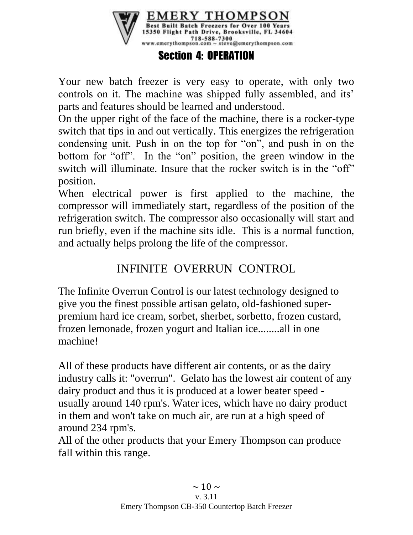

### Section 4: OPERATION

Your new batch freezer is very easy to operate, with only two controls on it. The machine was shipped fully assembled, and its' parts and features should be learned and understood.

On the upper right of the face of the machine, there is a rocker-type switch that tips in and out vertically. This energizes the refrigeration condensing unit. Push in on the top for "on", and push in on the bottom for "off". In the "on" position, the green window in the switch will illuminate. Insure that the rocker switch is in the "off" position.

When electrical power is first applied to the machine, the compressor will immediately start, regardless of the position of the refrigeration switch. The compressor also occasionally will start and run briefly, even if the machine sits idle. This is a normal function, and actually helps prolong the life of the compressor.

# INFINITE OVERRUN CONTROL

The Infinite Overrun Control is our latest technology designed to give you the finest possible artisan gelato, old-fashioned superpremium hard ice cream, sorbet, sherbet, sorbetto, frozen custard, frozen lemonade, frozen yogurt and Italian ice........all in one machine!

All of these products have different air contents, or as the dairy industry calls it: "overrun". Gelato has the lowest air content of any dairy product and thus it is produced at a lower beater speed usually around 140 rpm's. Water ices, which have no dairy product in them and won't take on much air, are run at a high speed of around 234 rpm's.

All of the other products that your Emery Thompson can produce fall within this range.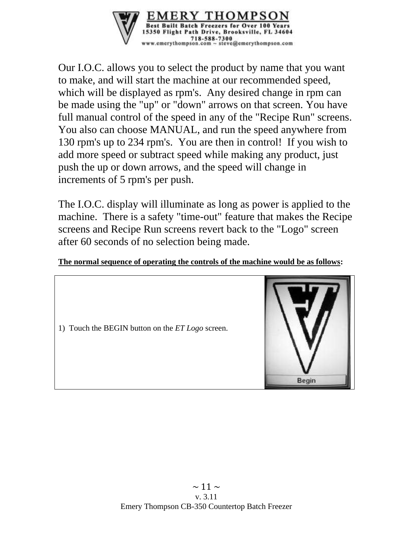

Our I.O.C. allows you to select the product by name that you want to make, and will start the machine at our recommended speed, which will be displayed as rpm's. Any desired change in rpm can be made using the "up" or "down" arrows on that screen. You have full manual control of the speed in any of the "Recipe Run" screens. You also can choose MANUAL, and run the speed anywhere from 130 rpm's up to 234 rpm's. You are then in control! If you wish to add more speed or subtract speed while making any product, just push the up or down arrows, and the speed will change in increments of 5 rpm's per push.

The I.O.C. display will illuminate as long as power is applied to the machine. There is a safety "time-out" feature that makes the Recipe screens and Recipe Run screens revert back to the "Logo" screen after 60 seconds of no selection being made.

#### **The normal sequence of operating the controls of the machine would be as follows:**

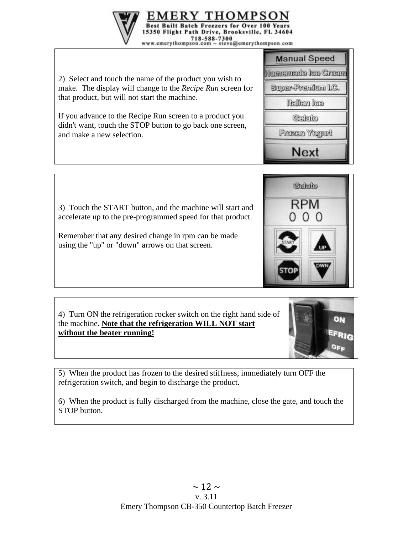2) Select and touch the name of the product you wish to make. The display will change to the *Recipe Run* screen for that product, but will not start the machine.

If you advance to the Recipe Run screen to a product you didn't want, touch the STOP button to go back one screen, and make a new selection.



Remember that any desired change in rpm can be made using the "up" or "down" arrows on that screen.

4) Turn ON the refrigeration rocker switch on the right hand side of the machine. **Note that the refrigeration WILL NOT start without the beater running!**

5) When the product has frozen to the desired stiffness, immediately turn OFF the refrigeration switch, and begin to discharge the product.

6) When the product is fully discharged from the machine, close the gate, and touch the STOP button.









3) Touch the START button, and the machine will start and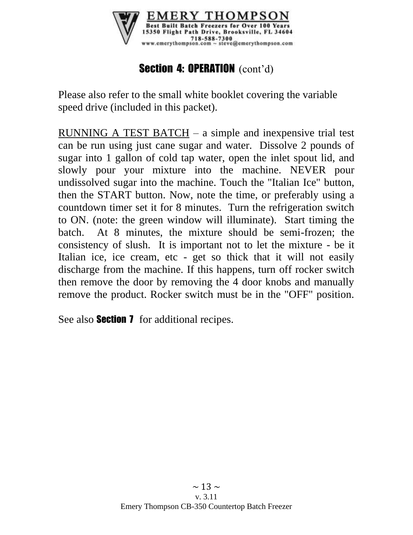

# Section 4: OPERATION (cont'd)

Please also refer to the small white booklet covering the variable speed drive (included in this packet).

RUNNING A TEST BATCH – a simple and inexpensive trial test can be run using just cane sugar and water. Dissolve 2 pounds of sugar into 1 gallon of cold tap water, open the inlet spout lid, and slowly pour your mixture into the machine. NEVER pour undissolved sugar into the machine. Touch the "Italian Ice" button, then the START button. Now, note the time, or preferably using a countdown timer set it for 8 minutes. Turn the refrigeration switch to ON. (note: the green window will illuminate). Start timing the batch. At 8 minutes, the mixture should be semi-frozen; the consistency of slush. It is important not to let the mixture - be it Italian ice, ice cream, etc - get so thick that it will not easily discharge from the machine. If this happens, turn off rocker switch then remove the door by removing the 4 door knobs and manually remove the product. Rocker switch must be in the "OFF" position.

See also **Section 7** for additional recipes.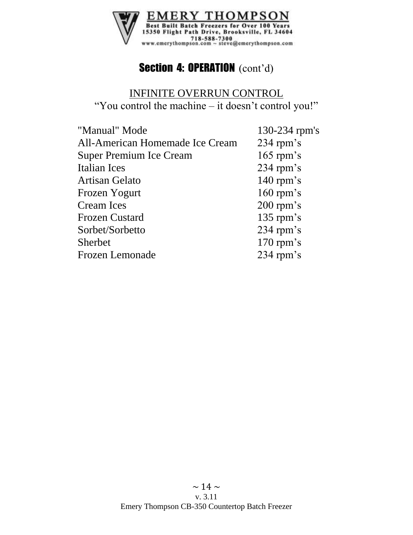

# Section 4: OPERATION (cont'd)

### INFINITE OVERRUN CONTROL "You control the machine – it doesn't control you!"

| 130-234 rpm's |
|---------------|
| $234$ rpm's   |
| $165$ rpm's   |
| $234$ rpm's   |
| $140$ rpm's   |
| $160$ rpm's   |
| $200$ rpm's   |
| $135$ rpm's   |
| $234$ rpm's   |
| $170$ rpm's   |
| $234$ rpm's   |
|               |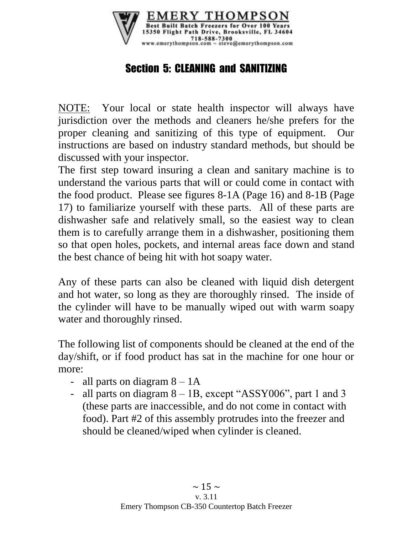

# Section 5: CLEANING and SANITIZING

NOTE: Your local or state health inspector will always have jurisdiction over the methods and cleaners he/she prefers for the proper cleaning and sanitizing of this type of equipment. Our instructions are based on industry standard methods, but should be discussed with your inspector.

The first step toward insuring a clean and sanitary machine is to understand the various parts that will or could come in contact with the food product. Please see figures 8-1A (Page 16) and 8-1B (Page 17) to familiarize yourself with these parts. All of these parts are dishwasher safe and relatively small, so the easiest way to clean them is to carefully arrange them in a dishwasher, positioning them so that open holes, pockets, and internal areas face down and stand the best chance of being hit with hot soapy water.

Any of these parts can also be cleaned with liquid dish detergent and hot water, so long as they are thoroughly rinsed. The inside of the cylinder will have to be manually wiped out with warm soapy water and thoroughly rinsed.

The following list of components should be cleaned at the end of the day/shift, or if food product has sat in the machine for one hour or more:

- all parts on diagram  $8 1$ A
- all parts on diagram  $8 1B$ , except "ASSY006", part 1 and 3 (these parts are inaccessible, and do not come in contact with food). Part #2 of this assembly protrudes into the freezer and should be cleaned/wiped when cylinder is cleaned.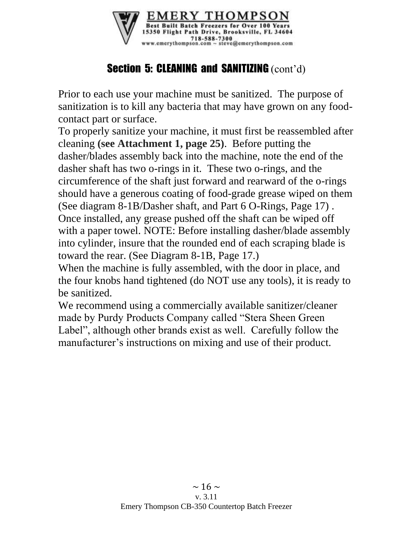

# **Section 5: CLEANING and SANITIZING (cont'd)**

Prior to each use your machine must be sanitized. The purpose of sanitization is to kill any bacteria that may have grown on any foodcontact part or surface.

To properly sanitize your machine, it must first be reassembled after cleaning **(see Attachment 1, page 25)**. Before putting the dasher/blades assembly back into the machine, note the end of the dasher shaft has two o-rings in it. These two o-rings, and the circumference of the shaft just forward and rearward of the o-rings should have a generous coating of food-grade grease wiped on them (See diagram 8-1B/Dasher shaft, and Part 6 O-Rings, Page 17) . Once installed, any grease pushed off the shaft can be wiped off with a paper towel. NOTE: Before installing dasher/blade assembly into cylinder, insure that the rounded end of each scraping blade is toward the rear. (See Diagram 8-1B, Page 17.)

When the machine is fully assembled, with the door in place, and the four knobs hand tightened (do NOT use any tools), it is ready to be sanitized.

We recommend using a commercially available sanitizer/cleaner made by Purdy Products Company called "Stera Sheen Green Label", although other brands exist as well. Carefully follow the manufacturer's instructions on mixing and use of their product.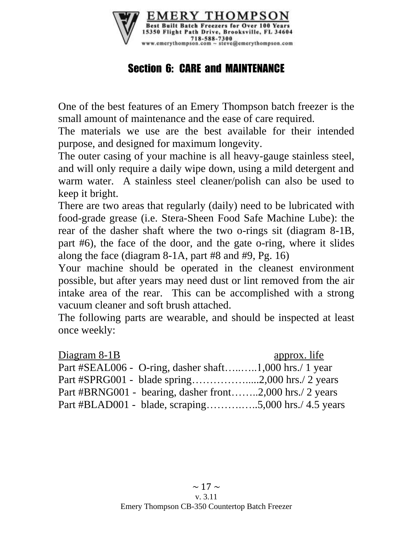

# Section 6: CARE and MAINTENANCE

One of the best features of an Emery Thompson batch freezer is the small amount of maintenance and the ease of care required.

The materials we use are the best available for their intended purpose, and designed for maximum longevity.

The outer casing of your machine is all heavy-gauge stainless steel, and will only require a daily wipe down, using a mild detergent and warm water. A stainless steel cleaner/polish can also be used to keep it bright.

There are two areas that regularly (daily) need to be lubricated with food-grade grease (i.e. Stera-Sheen Food Safe Machine Lube): the rear of the dasher shaft where the two o-rings sit (diagram 8-1B, part #6), the face of the door, and the gate o-ring, where it slides along the face (diagram 8-1A, part #8 and #9, Pg. 16)

Your machine should be operated in the cleanest environment possible, but after years may need dust or lint removed from the air intake area of the rear. This can be accomplished with a strong vacuum cleaner and soft brush attached.

The following parts are wearable, and should be inspected at least once weekly:

| Diagram 8-1B                                             | approx. life |
|----------------------------------------------------------|--------------|
| Part #SEAL006 - O-ring, dasher shaft1,000 hrs./ 1 year   |              |
|                                                          |              |
| Part #BRNG001 - bearing, dasher front2,000 hrs./ 2 years |              |
| Part #BLAD001 - blade, scraping5,000 hrs./ 4.5 years     |              |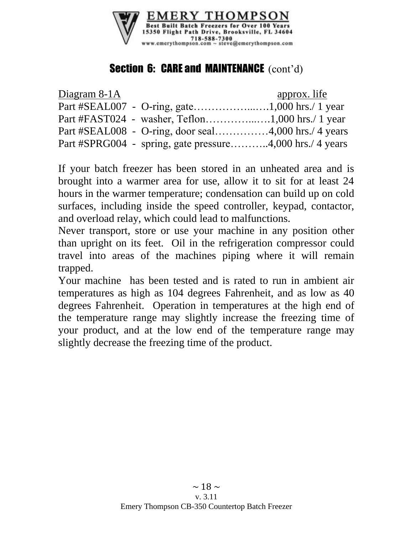

# **Section 6: CARE and MAINTENANCE** (cont'd)

| Diagram 8-1A |                                                          | approx. life |
|--------------|----------------------------------------------------------|--------------|
|              |                                                          |              |
|              |                                                          |              |
|              | Part #SEAL008 - O-ring, door seal4,000 hrs./ 4 years     |              |
|              | Part #SPRG004 - spring, gate pressure4,000 hrs./ 4 years |              |

If your batch freezer has been stored in an unheated area and is brought into a warmer area for use, allow it to sit for at least 24 hours in the warmer temperature; condensation can build up on cold surfaces, including inside the speed controller, keypad, contactor, and overload relay, which could lead to malfunctions.

Never transport, store or use your machine in any position other than upright on its feet. Oil in the refrigeration compressor could travel into areas of the machines piping where it will remain trapped.

Your machine has been tested and is rated to run in ambient air temperatures as high as 104 degrees Fahrenheit, and as low as 40 degrees Fahrenheit. Operation in temperatures at the high end of the temperature range may slightly increase the freezing time of your product, and at the low end of the temperature range may slightly decrease the freezing time of the product.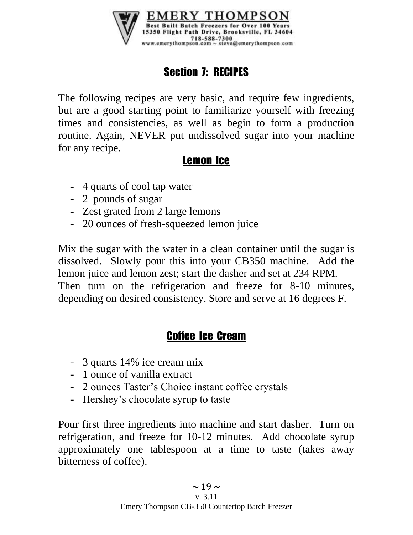

# Section 7: RECIPES

The following recipes are very basic, and require few ingredients, but are a good starting point to familiarize yourself with freezing times and consistencies, as well as begin to form a production routine. Again, NEVER put undissolved sugar into your machine for any recipe.

# Lemon Ice

- 4 quarts of cool tap water
- 2 pounds of sugar
- Zest grated from 2 large lemons
- 20 ounces of fresh-squeezed lemon juice

Mix the sugar with the water in a clean container until the sugar is dissolved. Slowly pour this into your CB350 machine. Add the lemon juice and lemon zest; start the dasher and set at 234 RPM. Then turn on the refrigeration and freeze for 8-10 minutes, depending on desired consistency. Store and serve at 16 degrees F.

# Coffee Ice Cream

- 3 quarts 14% ice cream mix
- 1 ounce of vanilla extract
- 2 ounces Taster's Choice instant coffee crystals
- Hershey's chocolate syrup to taste

Pour first three ingredients into machine and start dasher. Turn on refrigeration, and freeze for 10-12 minutes. Add chocolate syrup approximately one tablespoon at a time to taste (takes away bitterness of coffee).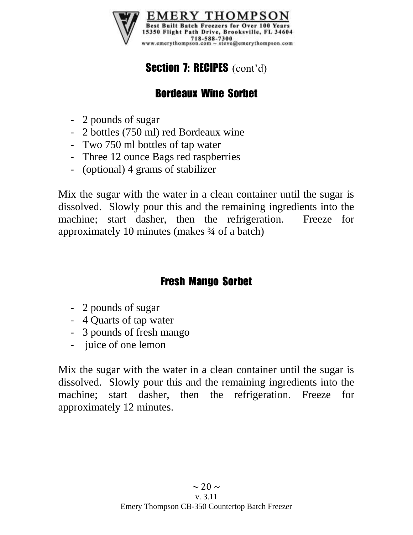

# Section 7: RECIPES (cont'd)

# Bordeaux Wine Sorbet

- 2 pounds of sugar
- 2 bottles (750 ml) red Bordeaux wine
- Two 750 ml bottles of tap water
- Three 12 ounce Bags red raspberries
- (optional) 4 grams of stabilizer

Mix the sugar with the water in a clean container until the sugar is dissolved. Slowly pour this and the remaining ingredients into the machine; start dasher, then the refrigeration. Freeze for approximately 10 minutes (makes ¾ of a batch)

# Fresh Mango Sorbet

- 2 pounds of sugar
- 4 Quarts of tap water
- 3 pounds of fresh mango
- juice of one lemon

Mix the sugar with the water in a clean container until the sugar is dissolved. Slowly pour this and the remaining ingredients into the machine; start dasher, then the refrigeration. Freeze for approximately 12 minutes.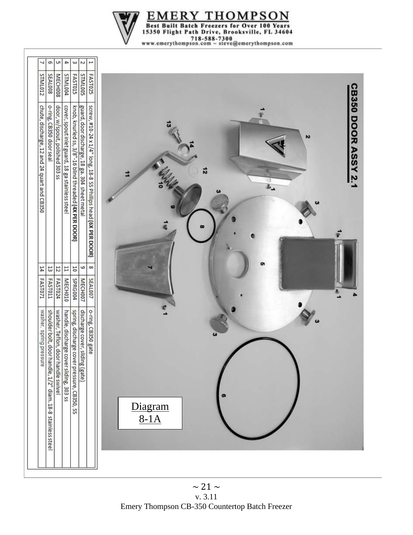

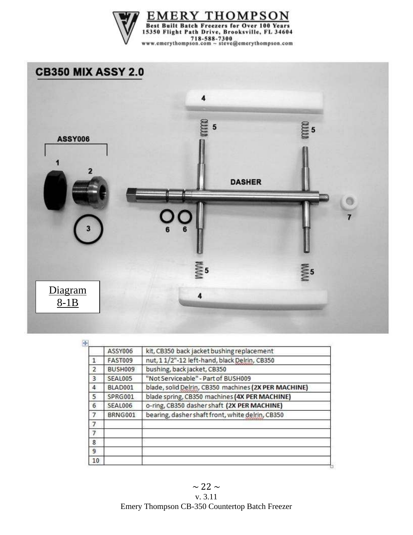

# **CB350 MIX ASSY 2.0**



|                | ASSY006        | kit, CB350 back jacket bushing replacement           |
|----------------|----------------|------------------------------------------------------|
| 1              | FAST009        | nut, 1 1/2"-12 left-hand, black Delrin, CB350        |
| $\overline{2}$ | BUSH009        | bushing, back jacket, CB350                          |
| $\overline{3}$ | <b>SEAL005</b> | "Not Serviceable" - Part of BUSH009                  |
| 4.             | BLAD001        | blade, solid Delrin, CB350 machines (2X PER MACHINE) |
| 5              | SPRG001        | blade spring, CB350 machines (4X PER MACHINE)        |
| 6              | SEAL006        | o-ring, CB350 dasher shaft (2X PER MACHINE)          |
| $\overline{7}$ | BRNG001        | bearing, dasher shaft front, white delrin, CB350     |
| 7              |                |                                                      |
| 7              |                |                                                      |
| 8              |                |                                                      |
| 9              |                |                                                      |
| 10             |                |                                                      |

 $\sim$  22  $\sim$ v. 3.11 Emery Thompson CB-350 Countertop Batch Freezer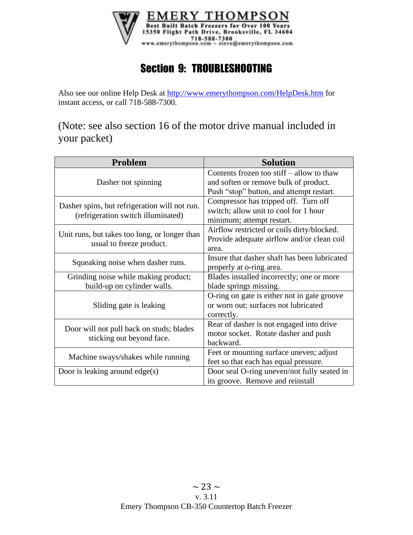

# Section 9: TROUBLESHOOTING

Also see our online Help Desk at<http://www.emerythompson.com/HelpDesk.htm> for instant access, or call 718-588-7300.

(Note: see also section 16 of the motor drive manual included in your packet)

| <b>Problem</b>                                                                      | <b>Solution</b>                              |
|-------------------------------------------------------------------------------------|----------------------------------------------|
|                                                                                     | Contents frozen too stiff $-$ allow to thaw  |
| Dasher not spinning                                                                 | and soften or remove bulk of product.        |
|                                                                                     | Push "stop" button, and attempt restart.     |
|                                                                                     | Compressor has tripped off. Turn off         |
| Dasher spins, but refrigeration will not run.<br>(refrigeration switch illuminated) | switch; allow unit to cool for 1 hour        |
|                                                                                     | minimum; attempt restart.                    |
|                                                                                     | Airflow restricted or coils dirty/blocked.   |
| Unit runs, but takes too long, or longer than                                       | Provide adequate airflow and/or clean coil   |
| usual to freeze product.                                                            | area.                                        |
|                                                                                     | Insure that dasher shaft has been lubricated |
| Squeaking noise when dasher runs.                                                   | properly at o-ring area.                     |
| Grinding noise while making product;                                                | Blades installed incorrectly; one or more    |
| build-up on cylinder walls.                                                         | blade springs missing.                       |
|                                                                                     | O-ring on gate is either not in gate groove  |
| Sliding gate is leaking                                                             | or worn out; surfaces not lubricated         |
|                                                                                     | correctly.                                   |
|                                                                                     | Rear of dasher is not engaged into drive     |
| Door will not pull back on studs; blades                                            | motor socket. Rotate dasher and push         |
| sticking out beyond face.                                                           | backward.                                    |
|                                                                                     | Feet or mounting surface uneven; adjust      |
| Machine sways/shakes while running                                                  | feet so that each has equal pressure.        |
| Door is leaking around $edge(s)$                                                    | Door seal O-ring uneven/not fully seated in  |
|                                                                                     | its groove. Remove and reinstall             |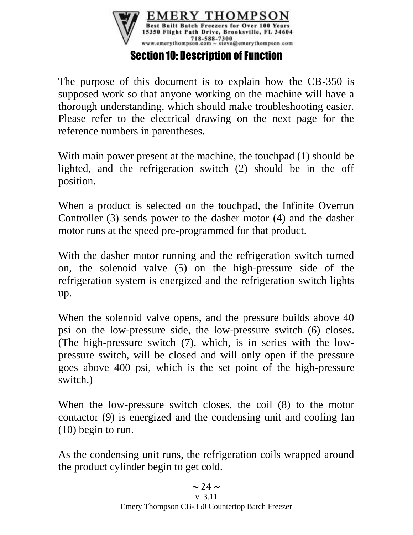

The purpose of this document is to explain how the CB-350 is supposed work so that anyone working on the machine will have a thorough understanding, which should make troubleshooting easier. Please refer to the electrical drawing on the next page for the reference numbers in parentheses.

With main power present at the machine, the touchpad (1) should be lighted, and the refrigeration switch (2) should be in the off position.

When a product is selected on the touchpad, the Infinite Overrun Controller (3) sends power to the dasher motor (4) and the dasher motor runs at the speed pre-programmed for that product.

With the dasher motor running and the refrigeration switch turned on, the solenoid valve (5) on the high-pressure side of the refrigeration system is energized and the refrigeration switch lights up.

When the solenoid valve opens, and the pressure builds above 40 psi on the low-pressure side, the low-pressure switch (6) closes. (The high-pressure switch (7), which, is in series with the lowpressure switch, will be closed and will only open if the pressure goes above 400 psi, which is the set point of the high-pressure switch.)

When the low-pressure switch closes, the coil  $(8)$  to the motor contactor (9) is energized and the condensing unit and cooling fan (10) begin to run.

As the condensing unit runs, the refrigeration coils wrapped around the product cylinder begin to get cold.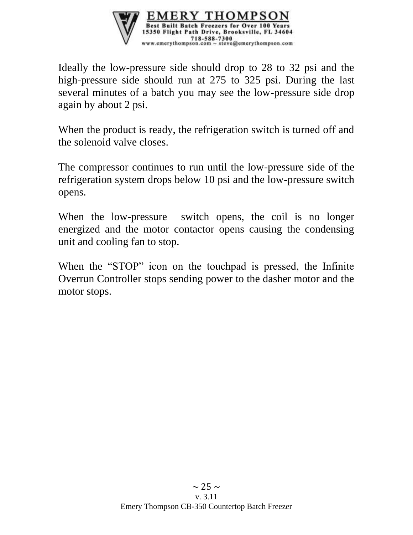

Ideally the low-pressure side should drop to 28 to 32 psi and the high-pressure side should run at 275 to 325 psi. During the last several minutes of a batch you may see the low-pressure side drop again by about 2 psi.

When the product is ready, the refrigeration switch is turned off and the solenoid valve closes.

The compressor continues to run until the low-pressure side of the refrigeration system drops below 10 psi and the low-pressure switch opens.

When the low-pressure switch opens, the coil is no longer energized and the motor contactor opens causing the condensing unit and cooling fan to stop.

When the "STOP" icon on the touchpad is pressed, the Infinite Overrun Controller stops sending power to the dasher motor and the motor stops.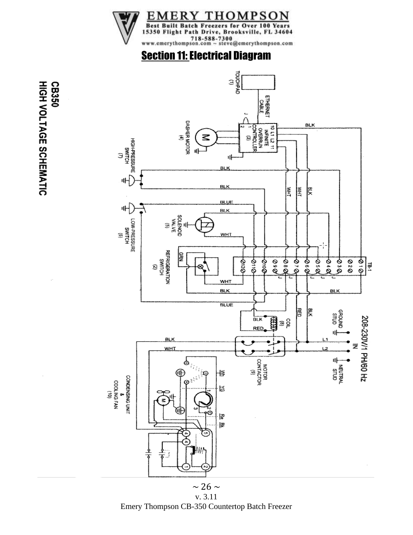

# **Section 11: Electrical Diagram**



Emery Thompson CB-350 Countertop Batch Freezer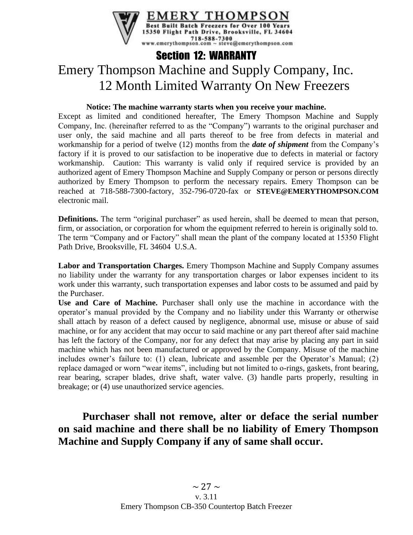

# Section 12: WARRANTY Emery Thompson Machine and Supply Company, Inc. 12 Month Limited Warranty On New Freezers

#### **Notice: The machine warranty starts when you receive your machine.**

Except as limited and conditioned hereafter, The Emery Thompson Machine and Supply Company, Inc. (hereinafter referred to as the "Company") warrants to the original purchaser and user only, the said machine and all parts thereof to be free from defects in material and workmanship for a period of twelve (12) months from the *date of shipment* from the Company's factory if it is proved to our satisfaction to be inoperative due to defects in material or factory workmanship. Caution: This warranty is valid only if required service is provided by an authorized agent of Emery Thompson Machine and Supply Company or person or persons directly authorized by Emery Thompson to perform the necessary repairs. Emery Thompson can be reached at 718-588-7300-factory, 352-796-0720-fax or **STEVE@EMERYTHOMPSON.COM** electronic mail.

**Definitions.** The term "original purchaser" as used herein, shall be deemed to mean that person, firm, or association, or corporation for whom the equipment referred to herein is originally sold to. The term "Company and or Factory" shall mean the plant of the company located at 15350 Flight Path Drive, Brooksville, FL 34604 U.S.A.

**Labor and Transportation Charges.** Emery Thompson Machine and Supply Company assumes no liability under the warranty for any transportation charges or labor expenses incident to its work under this warranty, such transportation expenses and labor costs to be assumed and paid by the Purchaser.

**Use and Care of Machine.** Purchaser shall only use the machine in accordance with the operator's manual provided by the Company and no liability under this Warranty or otherwise shall attach by reason of a defect caused by negligence, abnormal use, misuse or abuse of said machine, or for any accident that may occur to said machine or any part thereof after said machine has left the factory of the Company, nor for any defect that may arise by placing any part in said machine which has not been manufactured or approved by the Company. Misuse of the machine includes owner's failure to: (1) clean, lubricate and assemble per the Operator's Manual; (2) replace damaged or worn "wear items", including but not limited to o-rings, gaskets, front bearing, rear bearing, scraper blades, drive shaft, water valve. (3) handle parts properly, resulting in breakage; or (4) use unauthorized service agencies.

### **Purchaser shall not remove, alter or deface the serial number on said machine and there shall be no liability of Emery Thompson Machine and Supply Company if any of same shall occur.**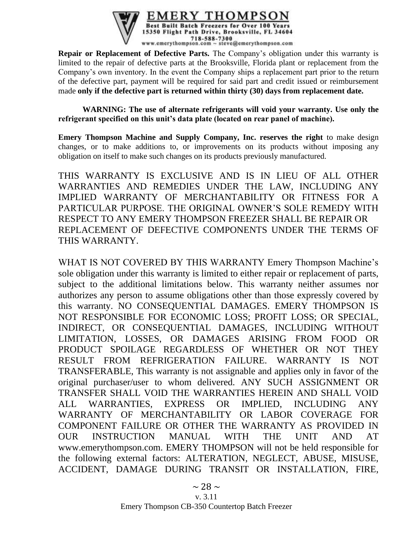

**Repair or Replacement of Defective Parts.** The Company's obligation under this warranty is limited to the repair of defective parts at the Brooksville, Florida plant or replacement from the Company's own inventory. In the event the Company ships a replacement part prior to the return of the defective part, payment will be required for said part and credit issued or reimbursement made **only if the defective part is returned within thirty (30) days from replacement date.**

**WARNING: The use of alternate refrigerants will void your warranty. Use only the refrigerant specified on this unit's data plate (located on rear panel of machine).**

**Emery Thompson Machine and Supply Company, Inc. reserves the right** to make design changes, or to make additions to, or improvements on its products without imposing any obligation on itself to make such changes on its products previously manufactured.

THIS WARRANTY IS EXCLUSIVE AND IS IN LIEU OF ALL OTHER WARRANTIES AND REMEDIES UNDER THE LAW, INCLUDING ANY IMPLIED WARRANTY OF MERCHANTABILITY OR FITNESS FOR A PARTICULAR PURPOSE. THE ORIGINAL OWNER'S SOLE REMEDY WITH RESPECT TO ANY EMERY THOMPSON FREEZER SHALL BE REPAIR OR REPLACEMENT OF DEFECTIVE COMPONENTS UNDER THE TERMS OF THIS WARRANTY.

WHAT IS NOT COVERED BY THIS WARRANTY Emery Thompson Machine's sole obligation under this warranty is limited to either repair or replacement of parts, subject to the additional limitations below. This warranty neither assumes nor authorizes any person to assume obligations other than those expressly covered by this warranty. NO CONSEQUENTIAL DAMAGES. EMERY THOMPSON IS NOT RESPONSIBLE FOR ECONOMIC LOSS; PROFIT LOSS; OR SPECIAL, INDIRECT, OR CONSEQUENTIAL DAMAGES, INCLUDING WITHOUT LIMITATION, LOSSES, OR DAMAGES ARISING FROM FOOD OR PRODUCT SPOILAGE REGARDLESS OF WHETHER OR NOT THEY RESULT FROM REFRIGERATION FAILURE. WARRANTY IS NOT TRANSFERABLE, This warranty is not assignable and applies only in favor of the original purchaser/user to whom delivered. ANY SUCH ASSIGNMENT OR TRANSFER SHALL VOID THE WARRANTIES HEREIN AND SHALL VOID ALL WARRANTIES, EXPRESS OR IMPLIED, INCLUDING ANY WARRANTY OF MERCHANTABILITY OR LABOR COVERAGE FOR COMPONENT FAILURE OR OTHER THE WARRANTY AS PROVIDED IN OUR INSTRUCTION MANUAL WITH THE UNIT AND AT www.emerythompson.com. EMERY THOMPSON will not be held responsible for the following external factors: ALTERATION, NEGLECT, ABUSE, MISUSE, ACCIDENT, DAMAGE DURING TRANSIT OR INSTALLATION, FIRE,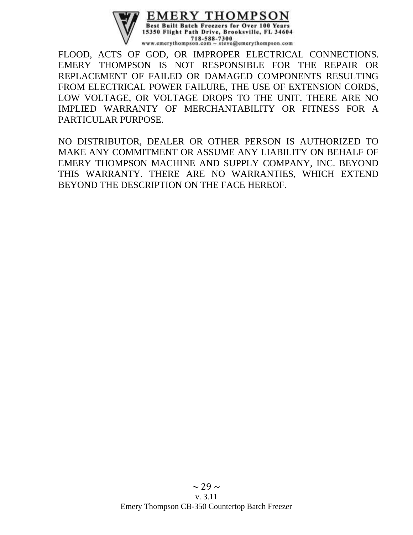

FLOOD, ACTS OF GOD, OR IMPROPER ELECTRICAL CONNECTIONS. EMERY THOMPSON IS NOT RESPONSIBLE FOR THE REPAIR OR REPLACEMENT OF FAILED OR DAMAGED COMPONENTS RESULTING FROM ELECTRICAL POWER FAILURE, THE USE OF EXTENSION CORDS, LOW VOLTAGE, OR VOLTAGE DROPS TO THE UNIT. THERE ARE NO IMPLIED WARRANTY OF MERCHANTABILITY OR FITNESS FOR A PARTICULAR PURPOSE.

NO DISTRIBUTOR, DEALER OR OTHER PERSON IS AUTHORIZED TO MAKE ANY COMMITMENT OR ASSUME ANY LIABILITY ON BEHALF OF EMERY THOMPSON MACHINE AND SUPPLY COMPANY, INC. BEYOND THIS WARRANTY. THERE ARE NO WARRANTIES, WHICH EXTEND BEYOND THE DESCRIPTION ON THE FACE HEREOF.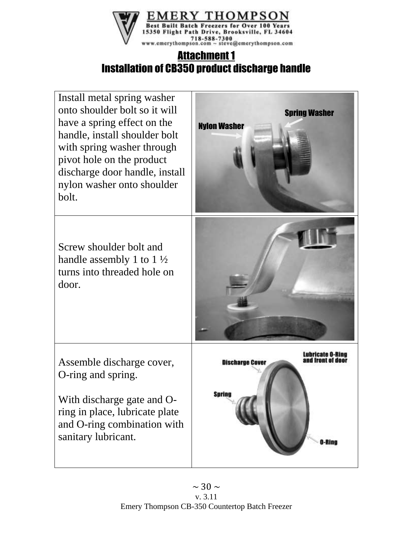

# Attachment 1 Installation of CB350 product discharge handle